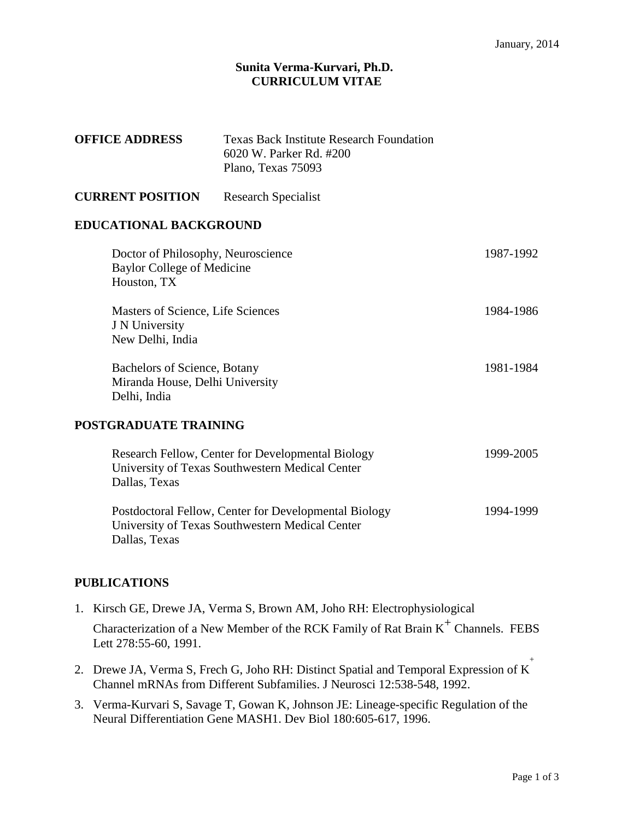## **Sunita Verma-Kurvari, Ph.D. CURRICULUM VITAE**

| <b>OFFICE ADDRESS</b>                                                                                                     | <b>Texas Back Institute Research Foundation</b><br>6020 W. Parker Rd. #200<br>Plano, Texas 75093 |           |
|---------------------------------------------------------------------------------------------------------------------------|--------------------------------------------------------------------------------------------------|-----------|
| <b>CURRENT POSITION</b>                                                                                                   | <b>Research Specialist</b>                                                                       |           |
| <b>EDUCATIONAL BACKGROUND</b>                                                                                             |                                                                                                  |           |
| Doctor of Philosophy, Neuroscience<br><b>Baylor College of Medicine</b><br>Houston, TX                                    |                                                                                                  | 1987-1992 |
| Masters of Science, Life Sciences<br>J N University<br>New Delhi, India                                                   |                                                                                                  | 1984-1986 |
| Bachelors of Science, Botany<br>Miranda House, Delhi University<br>Delhi, India                                           |                                                                                                  | 1981-1984 |
| POSTGRADUATE TRAINING                                                                                                     |                                                                                                  |           |
| Research Fellow, Center for Developmental Biology<br>University of Texas Southwestern Medical Center<br>Dallas, Texas     |                                                                                                  | 1999-2005 |
| Postdoctoral Fellow, Center for Developmental Biology<br>University of Texas Southwestern Medical Center<br>Dallas, Texas |                                                                                                  | 1994-1999 |

## **PUBLICATIONS**

1. Kirsch GE, Drewe JA, Verma S, Brown AM, Joho RH: Electrophysiological

Characterization of a New Member of the RCK Family of Rat Brain  $K^+$  Channels. FEBS Lett 278:55-60, 1991.

- 2. Drewe JA, Verma S, Frech G, Joho RH: Distinct Spatial and Temporal Expression of K+ Channel mRNAs from Different Subfamilies. J Neurosci 12:538-548, 1992.
- 3. Verma-Kurvari S, Savage T, Gowan K, Johnson JE: Lineage-specific Regulation of the Neural Differentiation Gene MASH1. Dev Biol 180:605-617, 1996.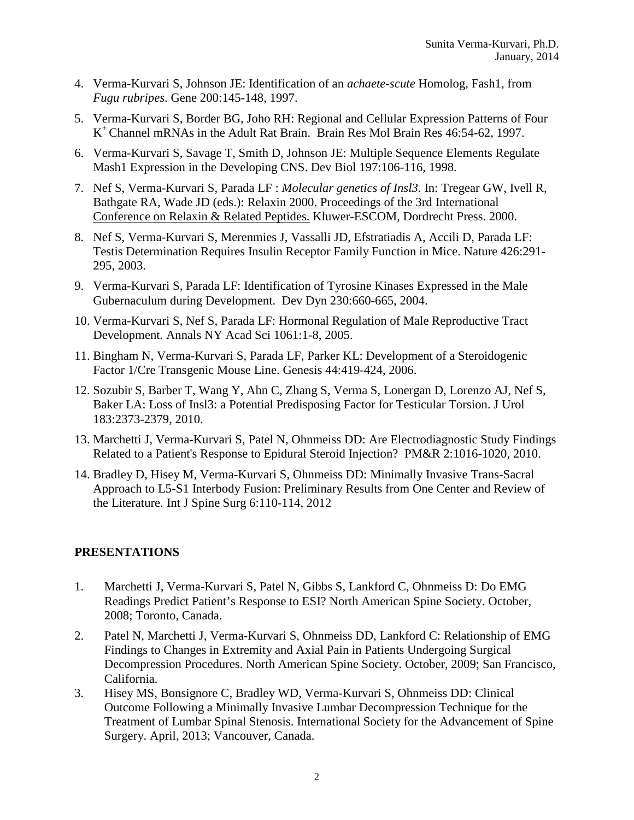- 4. Verma-Kurvari S, Johnson JE: Identification of an *achaete-scute* Homolog, Fash1, from *Fugu rubripes*. Gene 200:145-148, 1997.
- 5. Verma-Kurvari S, Border BG, Joho RH: Regional and Cellular Expression Patterns of Four K+ Channel mRNAs in the Adult Rat Brain. Brain Res Mol Brain Res 46:54-62, 1997.
- 6. Verma-Kurvari S, Savage T, Smith D, Johnson JE: Multiple Sequence Elements Regulate Mash1 Expression in the Developing CNS. Dev Biol 197:106-116, 1998.
- 7. Nef S, Verma-Kurvari S, Parada LF : *Molecular genetics of Insl3.* In: Tregear GW, Ivell R, Bathgate RA, Wade JD (eds.): Relaxin 2000. Proceedings of the 3rd International Conference on Relaxin & Related Peptides. Kluwer-ESCOM, Dordrecht Press. 2000.
- 8. Nef S, Verma-Kurvari S, Merenmies J, Vassalli JD, Efstratiadis A, Accili D, Parada LF: Testis Determination Requires Insulin Receptor Family Function in Mice. Nature 426:291- 295, 2003.
- 9. Verma-Kurvari S, Parada LF: Identification of Tyrosine Kinases Expressed in the Male Gubernaculum during Development. Dev Dyn 230:660-665, 2004.
- 10. Verma-Kurvari S, Nef S, Parada LF: Hormonal Regulation of Male Reproductive Tract Development. Annals NY Acad Sci 1061:1-8, 2005.
- 11. Bingham N, Verma-Kurvari S, Parada LF, Parker KL: Development of a Steroidogenic Factor 1/Cre Transgenic Mouse Line. Genesis 44:419-424, 2006.
- 12. Sozubir S, Barber T, Wang Y, Ahn C, Zhang S, Verma S, Lonergan D, Lorenzo AJ, Nef S, Baker LA: Loss of Insl3: a Potential Predisposing Factor for Testicular Torsion. J Urol 183:2373-2379, 2010.
- 13. Marchetti J, Verma-Kurvari S, Patel N, Ohnmeiss DD: Are Electrodiagnostic Study Findings Related to a Patient's Response to Epidural Steroid Injection? PM&R 2:1016-1020, 2010.
- 14. Bradley D, Hisey M, Verma-Kurvari S, Ohnmeiss DD: Minimally Invasive Trans-Sacral Approach to L5-S1 Interbody Fusion: Preliminary Results from One Center and Review of the Literature. Int J Spine Surg 6:110-114, 2012

## **PRESENTATIONS**

- 1. Marchetti J, Verma-Kurvari S, Patel N, Gibbs S, Lankford C, Ohnmeiss D: Do EMG Readings Predict Patient's Response to ESI? North American Spine Society. October, 2008; Toronto, Canada.
- 2. Patel N, Marchetti J, Verma-Kurvari S, Ohnmeiss DD, Lankford C: Relationship of EMG Findings to Changes in Extremity and Axial Pain in Patients Undergoing Surgical Decompression Procedures. North American Spine Society. October, 2009; San Francisco, California.
- 3. Hisey MS, Bonsignore C, Bradley WD, Verma-Kurvari S, Ohnmeiss DD: Clinical Outcome Following a Minimally Invasive Lumbar Decompression Technique for the Treatment of Lumbar Spinal Stenosis. International Society for the Advancement of Spine Surgery. April, 2013; Vancouver, Canada.